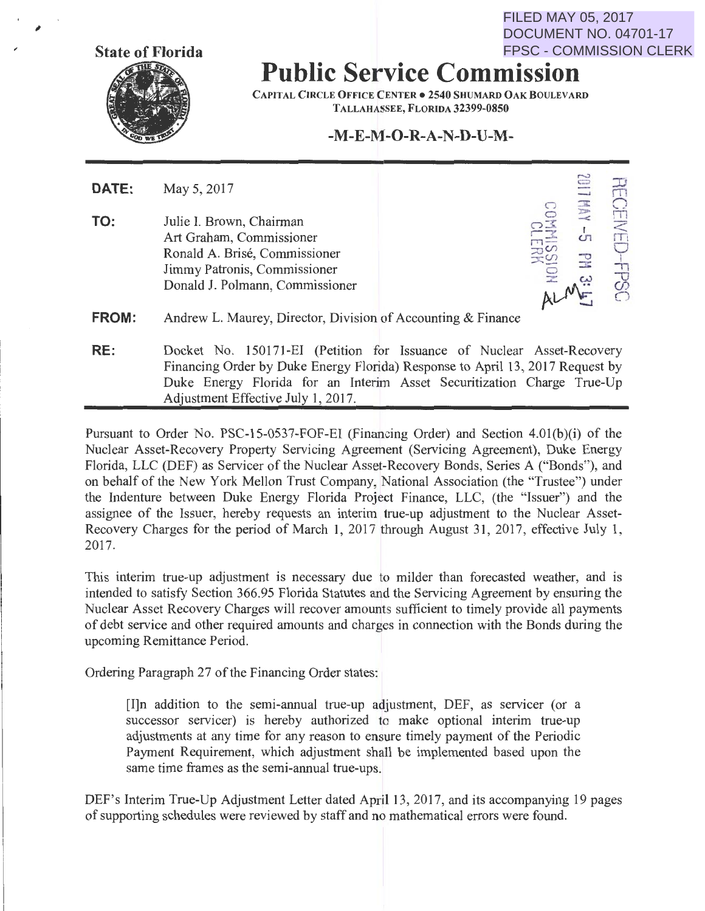FILED MAY 05, 2017 DOCUMENT NO. 04701-17 FPSC - COMMISSION CLERK

 $\frac{1}{\sqrt{2}}$  $\Omega_{\rm H}$  $\overline{\mathbb{R}}$  $\overline{\overline{C}}$  $\frac{1}{\sqrt{2}}$ u *(f) c* 

ALME 000



;

## **Public Service Commission**

CAPITAL CIRCLE OFFICE CENTER . 2540 SHUMARD OAK BOULEVARD TALLAHASSEE, FLORIDA 32399-0850

## **-M-E-M-0-R-A-N-D-U-M-**

| DATE: | May 5, 2017                                                                                                                                                                                                                                                          |                 |
|-------|----------------------------------------------------------------------------------------------------------------------------------------------------------------------------------------------------------------------------------------------------------------------|-----------------|
| TO:   | Julie I. Brown, Chairman<br>Art Graham, Commissioner<br>Ronald A. Brisé, Commissioner<br>Jimmy Patronis, Commissioner<br>Donald J. Polmann, Commissioner                                                                                                             | $-$<br>CЛ.<br>긓 |
| FROM: | Andrew L. Maurey, Director, Division of Accounting & Finance                                                                                                                                                                                                         |                 |
|       | $\mathbf{D}$ 1 in the set of $\mathbf{D}$ in the set of $\mathbf{D}$ in the set of $\mathbf{D}$ in the set of $\mathbf{D}$ in the set of $\mathbf{D}$ in the set of $\mathbf{D}$ in the set of $\mathbf{D}$ in the set of $\mathbf{D}$ in the set of $\mathbf{D}$ in |                 |

**RE:** Docket No. 150171-EI (Petition for Issuance of Nuclear Asset-Recovery Financing Order by Duke Energy Florida) Response to April 13, 2017 Request by Duke Energy Florida for an Interim Asset Securitization Charge True-Up Adjustment Effective July 1, 2017.

Pursuant to Order No. PSC-15-0537-FOF-EI (Financing Order) and Section 4.0l(b)(i) of the Nuclear Asset-Recovery Property Servicing Agreement (Servicing Agreement), Duke Energy Florida, LLC (DEF) as Servicer of the Nuclear Asset-Recovery Bonds, Series A ("Bonds"), and on behalf of the New York Mellon Trust Company, National Association (the "Trustee") under the Indenture between Duke Energy Florida Project Finance, LLC, (the "Issuer") and the assignee of the Issuer, hereby requests an interim true-up adjustment to the Nuclear Asset-Recovery Charges for the period of March 1, 2017 through August 31, 2017, effective July 1, 2017.

This interim true-up adjustment is necessary due to milder than forecasted weather, and is intended to satisfy Section 366.95 Florida Statutes and the Servicing Agreement by ensuring the Nuclear Asset Recovery Charges will recover amounts sufficient to timely provide all payments of debt service and other required amounts and charges in connection with the Bonds during the upcoming Remittance Period.

Ordering Paragraph 27 of the Financing Order states:

[I]n addition to the semi-annual true-up adjustment, DEF, as servicer (or a successor servicer) is hereby authorized to make optional interim true-up adjustments at any time for any reason to ensure timely payment of the Periodic Payment Requirement, which adjustment shall be implemented based upon the same time frames as the semi-annual true-ups.

DEF's Interim True-Up Adjustment Letter dated April 13, 2017, and its accompanying 19 pages of supporting schedules were reviewed by staff and no mathematical errors were found.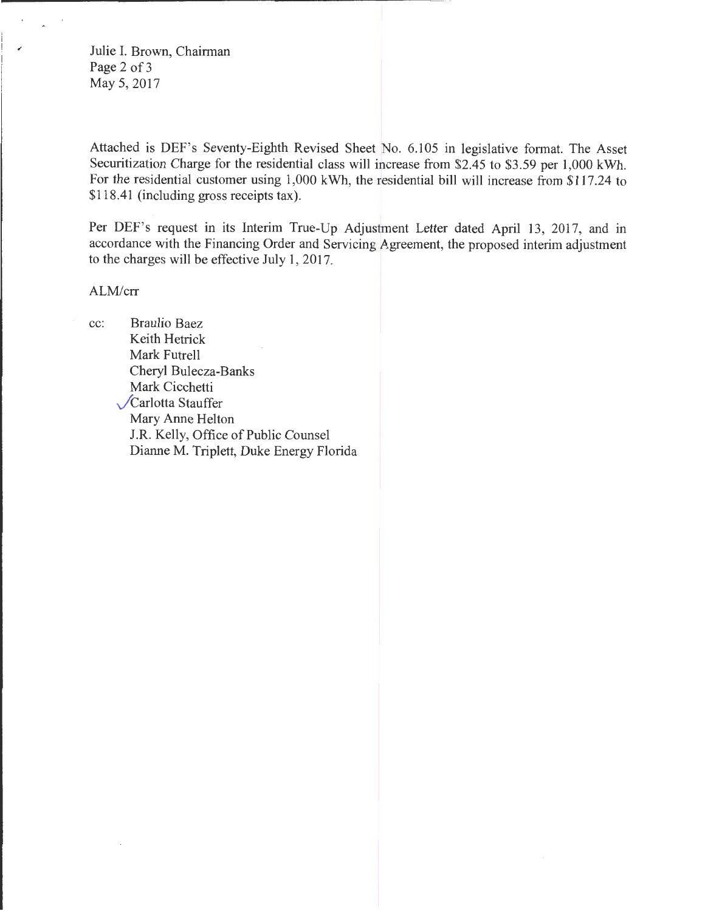Julie I. Brown, Chairman Page 2 of 3 May 5, 2017

Attached is DEF's Seventy-Eighth Revised Sheet No. 6.105 in legislative format. The Asset Securitization Charge for the residential class will increase from \$2.45 to \$3.59 per 1,000 kWh. For the residential customer using 1,000 kWh, the residential bill will increase from \$117.24 to \$118.41 (including gross receipts tax).

Per DEF's request in its Interim True-Up Adjustment Letter dated April 13, 2017, and in accordance with the Financing Order and Servicing Agreement, the proposed interim adjustment to the charges will be effective July 1, 2017.

ALM/crr

cc: Braulio Baez Keith Hetrick Mark Futrell Cheryl Bulecza-Banks Mark Cicchetti Carlotta Stauffer Mary Anne Helton J.R. Kelly, Office of Public Counsel Dianne M. Triplett, Duke Energy Florida